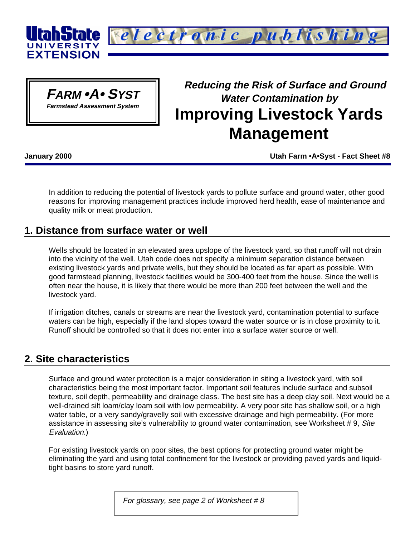



# **Reducing the Risk of Surface and Ground Water Contamination by Improving Livestock Yards Management**

**January 2000 Utah Farm •A•Syst - Fact Sheet #8**

In addition to reducing the potential of livestock yards to pollute surface and ground water, other good reasons for improving management practices include improved herd health, ease of maintenance and quality milk or meat production.

# **1. Distance from surface water or well**

Wells should be located in an elevated area upslope of the livestock yard, so that runoff will not drain into the vicinity of the well. Utah code does not specify a minimum separation distance between existing livestock yards and private wells, but they should be located as far apart as possible. With good farmstead planning, livestock facilities would be 300-400 feet from the house. Since the well is often near the house, it is likely that there would be more than 200 feet between the well and the livestock yard.

If irrigation ditches, canals or streams are near the livestock yard, contamination potential to surface waters can be high, especially if the land slopes toward the water source or is in close proximity to it. Runoff should be controlled so that it does not enter into a surface water source or well.

# **2. Site characteristics**

Surface and ground water protection is a major consideration in siting a livestock yard, with soil characteristics being the most important factor. Important soil features include surface and subsoil texture, soil depth, permeability and drainage class. The best site has a deep clay soil. Next would be a well-drained silt loam/clay loam soil with low permeability. A very poor site has shallow soil, or a high water table, or a very sandy/gravelly soil with excessive drainage and high permeability. (For more assistance in assessing site's vulnerability to ground water contamination, see Worksheet #9, Site Evaluation.)

For existing livestock yards on poor sites, the best options for protecting ground water might be eliminating the yard and using total confinement for the livestock or providing paved yards and liquidtight basins to store yard runoff.

For glossary, see page 2 of Worksheet  $#8$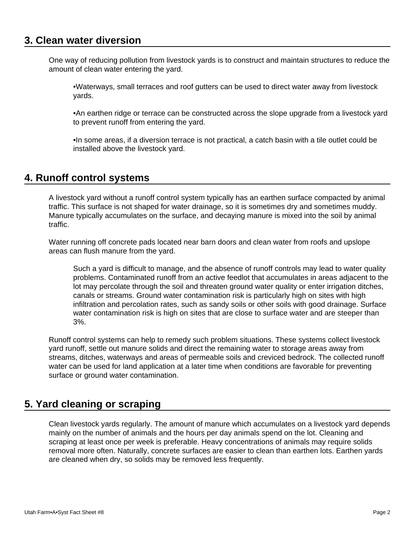### **3. Clean water diversion**

One way of reducing pollution from livestock yards is to construct and maintain structures to reduce the amount of clean water entering the yard.

•Waterways, small terraces and roof gutters can be used to direct water away from livestock yards.

•An earthen ridge or terrace can be constructed across the slope upgrade from a livestock yard to prevent runoff from entering the yard.

•In some areas, if a diversion terrace is not practical, a catch basin with a tile outlet could be installed above the livestock yard.

# **4. Runoff control systems**

A livestock yard without a runoff control system typically has an earthen surface compacted by animal traffic. This surface is not shaped for water drainage, so it is sometimes dry and sometimes muddy. Manure typically accumulates on the surface, and decaying manure is mixed into the soil by animal traffic.

Water running off concrete pads located near barn doors and clean water from roofs and upslope areas can flush manure from the yard.

Such a yard is difficult to manage, and the absence of runoff controls may lead to water quality problems. Contaminated runoff from an active feedlot that accumulates in areas adjacent to the lot may percolate through the soil and threaten ground water quality or enter irrigation ditches, canals or streams. Ground water contamination risk is particularly high on sites with high infiltration and percolation rates, such as sandy soils or other soils with good drainage. Surface water contamination risk is high on sites that are close to surface water and are steeper than 3%.

Runoff control systems can help to remedy such problem situations. These systems collect livestock yard runoff, settle out manure solids and direct the remaining water to storage areas away from streams, ditches, waterways and areas of permeable soils and creviced bedrock. The collected runoff water can be used for land application at a later time when conditions are favorable for preventing surface or ground water contamination.

# **5. Yard cleaning or scraping**

Clean livestock yards regularly. The amount of manure which accumulates on a livestock yard depends mainly on the number of animals and the hours per day animals spend on the lot. Cleaning and scraping at least once per week is preferable. Heavy concentrations of animals may require solids removal more often. Naturally, concrete surfaces are easier to clean than earthen lots. Earthen yards are cleaned when dry, so solids may be removed less frequently.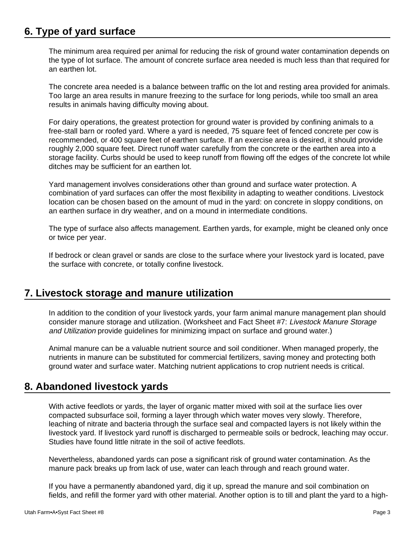# **6. Type of yard surface**

The minimum area required per animal for reducing the risk of ground water contamination depends on the type of lot surface. The amount of concrete surface area needed is much less than that required for an earthen lot.

The concrete area needed is a balance between traffic on the lot and resting area provided for animals. Too large an area results in manure freezing to the surface for long periods, while too small an area results in animals having difficulty moving about.

For dairy operations, the greatest protection for ground water is provided by confining animals to a free-stall barn or roofed yard. Where a yard is needed, 75 square feet of fenced concrete per cow is recommended, or 400 square feet of earthen surface. If an exercise area is desired, it should provide roughly 2,000 square feet. Direct runoff water carefully from the concrete or the earthen area into a storage facility. Curbs should be used to keep runoff from flowing off the edges of the concrete lot while ditches may be sufficient for an earthen lot.

Yard management involves considerations other than ground and surface water protection. A combination of yard surfaces can offer the most flexibility in adapting to weather conditions. Livestock location can be chosen based on the amount of mud in the yard: on concrete in sloppy conditions, on an earthen surface in dry weather, and on a mound in intermediate conditions.

The type of surface also affects management. Earthen yards, for example, might be cleaned only once or twice per year.

If bedrock or clean gravel or sands are close to the surface where your livestock yard is located, pave the surface with concrete, or totally confine livestock.

# **7. Livestock storage and manure utilization**

In addition to the condition of your livestock yards, your farm animal manure management plan should consider manure storage and utilization. (Worksheet and Fact Sheet #7: Livestock Manure Storage and Utilization provide guidelines for minimizing impact on surface and ground water.)

Animal manure can be a valuable nutrient source and soil conditioner. When managed properly, the nutrients in manure can be substituted for commercial fertilizers, saving money and protecting both ground water and surface water. Matching nutrient applications to crop nutrient needs is critical.

# **8. Abandoned livestock yards**

With active feedlots or yards, the layer of organic matter mixed with soil at the surface lies over compacted subsurface soil, forming a layer through which water moves very slowly. Therefore, leaching of nitrate and bacteria through the surface seal and compacted layers is not likely within the livestock yard. If livestock yard runoff is discharged to permeable soils or bedrock, leaching may occur. Studies have found little nitrate in the soil of active feedlots.

Nevertheless, abandoned yards can pose a significant risk of ground water contamination. As the manure pack breaks up from lack of use, water can leach through and reach ground water.

If you have a permanently abandoned yard, dig it up, spread the manure and soil combination on fields, and refill the former yard with other material. Another option is to till and plant the yard to a high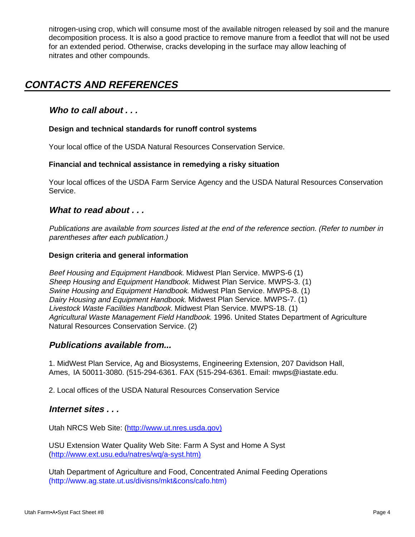nitrogen-using crop, which will consume most of the available nitrogen released by soil and the manure decomposition process. It is also a good practice to remove manure from a feedlot that will not be used for an extended period. Otherwise, cracks developing in the surface may allow leaching of nitrates and other compounds.

# **CONTACTS AND REFERENCES**

### **Who to call about . . .**

### **Design and technical standards for runoff control systems**

Your local office of the USDA Natural Resources Conservation Service.

### **Financial and technical assistance in remedying a risky situation**

Your local offices of the USDA Farm Service Agency and the USDA Natural Resources Conservation Service.

### **What to read about . . .**

Publications are available from sources listed at the end of the reference section. (Refer to number in parentheses after each publication.)

### **Design criteria and general information**

Beef Housing and Equipment Handbook. Midwest Plan Service. MWPS-6 (1) Sheep Housing and Equipment Handbook. Midwest Plan Service. MWPS-3. (1) Swine Housing and Equipment Handbook. Midwest Plan Service. MWPS-8. (1) Dairy Housing and Equipment Handbook. Midwest Plan Service. MWPS-7. (1) Livestock Waste Facilities Handbook. Midwest Plan Service. MWPS-18. (1) Agricultural Waste Management Field Handbook. 1996. United States Department of Agriculture Natural Resources Conservation Service. (2)

### **Publications available from...**

1. MidWest Plan Service, Ag and Biosystems, Engineering Extension, 207 Davidson Hall, Ames, IA 50011-3080. (515-294-6361. FAX (515-294-6361. Email: mwps@iastate.edu.

2. Local offices of the USDA Natural Resources Conservation Service

### **Internet sites . . .**

Utah NRCS Web Site: (http://www.ut.nres.usda.gov)

USU Extension Water Quality Web Site: Farm A Syst and Home A Syst (http://www.ext.usu.edu/natres/wq/a-syst.htm)

Utah Department of Agriculture and Food, Concentrated Animal Feeding Operations (http://www.ag.state.ut.us/divisns/mkt&cons/cafo.htm)